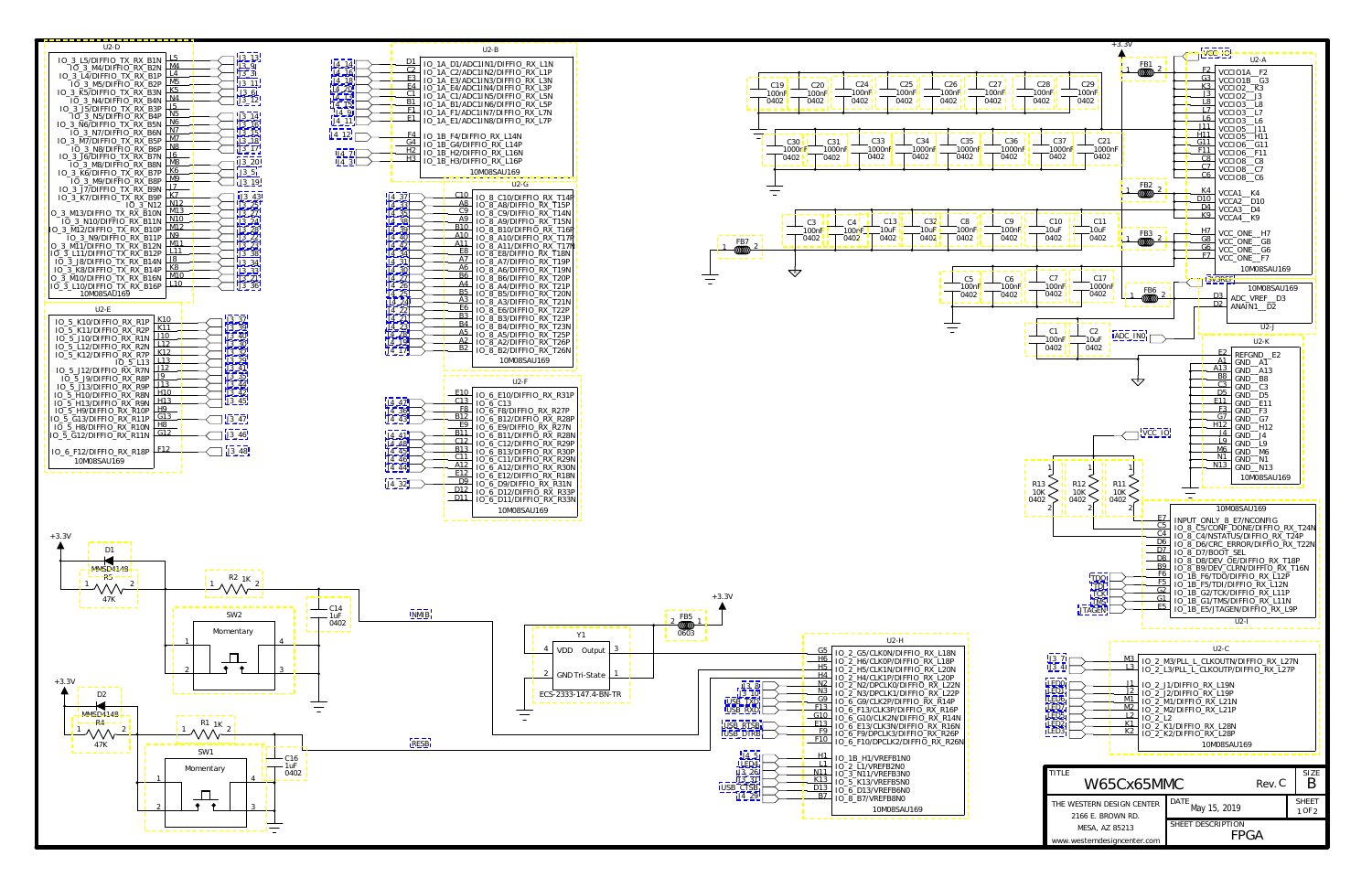<span id="page-0-0"></span>